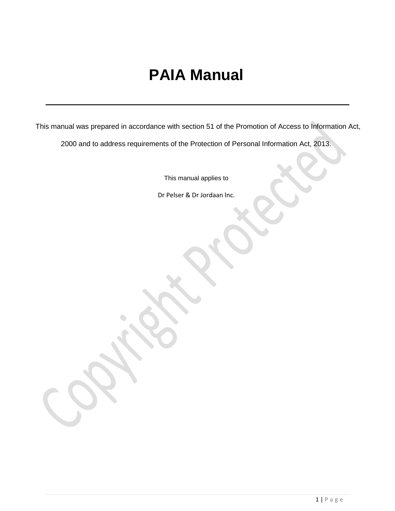# **PAIA Manual**

This manual was prepared in accordance with section 51 of the Promotion of Access to Information Act,

2000 and to address requirements of the Protection of Personal Information Act, 2013.

This manual applies to

Dr Pelser & Dr Jordaan lnc.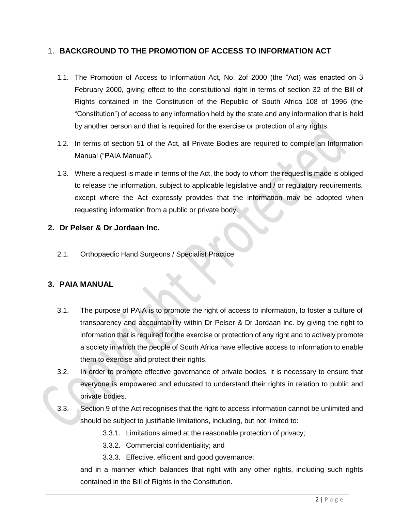### 1. **BACKGROUND TO THE PROMOTION OF ACCESS TO INFORMATION ACT**

- 1.1. The Promotion of Access to Information Act, No. 2of 2000 (the "Act) was enacted on 3 February 2000, giving effect to the constitutional right in terms of section 32 of the Bill of Rights contained in the Constitution of the Republic of South Africa 108 of 1996 (the "Constitution") of access to any information held by the state and any information that is held by another person and that is required for the exercise or protection of any rights.
- 1.2. In terms of section 51 of the Act, all Private Bodies are required to compile an Information Manual ("PAIA Manual").
- 1.3. Where a request is made in terms of the Act, the body to whom the request is made is obliged to release the information, subject to applicable legislative and / or regulatory requirements, except where the Act expressly provides that the information may be adopted when requesting information from a public or private body.

### **2. Dr Pelser & Dr Jordaan lnc.**

2.1. Orthopaedic Hand Surgeons / Specialist Practice

### **3. PAIA MANUAL**

- 3.1. The purpose of PAIA is to promote the right of access to information, to foster a culture of transparency and accountability within Dr Pelser & Dr Jordaan lnc. by giving the right to information that is required for the exercise or protection of any right and to actively promote a society in which the people of South Africa have effective access to information to enable them to exercise and protect their rights.
- 3.2. In order to promote effective governance of private bodies, it is necessary to ensure that everyone is empowered and educated to understand their rights in relation to public and private bodies.
- 3.3. Section 9 of the Act recognises that the right to access information cannot be unlimited and should be subject to justifiable limitations, including, but not limited to:
	- 3.3.1. Limitations aimed at the reasonable protection of privacy;
	- 3.3.2. Commercial confidentiality; and
	- 3.3.3. Effective, efficient and good governance;

and in a manner which balances that right with any other rights, including such rights contained in the Bill of Rights in the Constitution.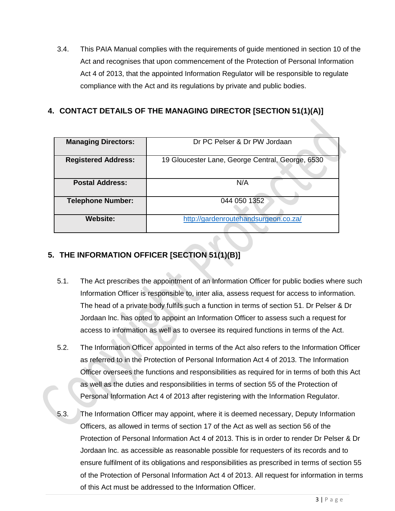3.4. This PAIA Manual complies with the requirements of guide mentioned in section 10 of the Act and recognises that upon commencement of the Protection of Personal Information Act 4 of 2013, that the appointed Information Regulator will be responsible to regulate compliance with the Act and its regulations by private and public bodies.

# **4. CONTACT DETAILS OF THE MANAGING DIRECTOR [SECTION 51(1)(A)]**

| <b>Managing Directors:</b> | Dr PC Pelser & Dr PW Jordaan                     |  |  |  |  |  |  |
|----------------------------|--------------------------------------------------|--|--|--|--|--|--|
| <b>Registered Address:</b> | 19 Gloucester Lane, George Central, George, 6530 |  |  |  |  |  |  |
| <b>Postal Address:</b>     | N/A                                              |  |  |  |  |  |  |
| <b>Telephone Number:</b>   | 044 050 1352                                     |  |  |  |  |  |  |
| <b>Website:</b>            | http://gardenroutehandsurgeon.co.za/             |  |  |  |  |  |  |

# **5. THE INFORMATION OFFICER [SECTION 51(1)(B)]**

- 5.1. The Act prescribes the appointment of an Information Officer for public bodies where such Information Officer is responsible to, inter alia, assess request for access to information. The head of a private body fulfils such a function in terms of section 51. Dr Pelser & Dr Jordaan lnc. has opted to appoint an Information Officer to assess such a request for access to information as well as to oversee its required functions in terms of the Act.
- 5.2. The Information Officer appointed in terms of the Act also refers to the Information Officer as referred to in the Protection of Personal Information Act 4 of 2013. The Information Officer oversees the functions and responsibilities as required for in terms of both this Act as well as the duties and responsibilities in terms of section 55 of the Protection of Personal Information Act 4 of 2013 after registering with the Information Regulator.
- 5.3. The Information Officer may appoint, where it is deemed necessary, Deputy Information Officers, as allowed in terms of section 17 of the Act as well as section 56 of the Protection of Personal Information Act 4 of 2013. This is in order to render Dr Pelser & Dr Jordaan lnc. as accessible as reasonable possible for requesters of its records and to ensure fulfilment of its obligations and responsibilities as prescribed in terms of section 55 of the Protection of Personal Information Act 4 of 2013. All request for information in terms of this Act must be addressed to the Information Officer.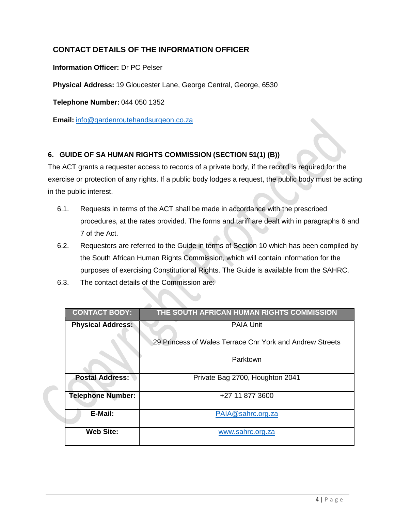# **CONTACT DETAILS OF THE INFORMATION OFFICER**

#### **Information Officer:** Dr PC Pelser

**Physical Address:** 19 Gloucester Lane, George Central, George, 6530

**Telephone Number:** 044 050 1352

**Email:** [info@gardenroutehandsurgeon.co.za](mailto:info@gardenroutehandsurgeon.co.za)

#### **6. GUIDE OF SA HUMAN RIGHTS COMMISSION (SECTION 51(1) (B))**

The ACT grants a requester access to records of a private body, if the record is required for the exercise or protection of any rights. If a public body lodges a request, the public body must be acting in the public interest.

- 6.1. Requests in terms of the ACT shall be made in accordance with the prescribed procedures, at the rates provided. The forms and tariff are dealt with in paragraphs 6 and 7 of the Act.
- 6.2. Requesters are referred to the Guide in terms of Section 10 which has been compiled by the South African Human Rights Commission, which will contain information for the purposes of exercising Constitutional Rights. The Guide is available from the SAHRC.
- 6.3. The contact details of the Commission are:

| <b>CONTACT BODY:</b>     | THE SOUTH AFRICAN HUMAN RIGHTS COMMISSION                |
|--------------------------|----------------------------------------------------------|
| <b>Physical Address:</b> | <b>PAIA Unit</b>                                         |
|                          | 29 Princess of Wales Terrace Cnr York and Andrew Streets |
|                          | Parktown                                                 |
| <b>Postal Address:</b>   | Private Bag 2700, Houghton 2041                          |
| <b>Telephone Number:</b> | +27 11 877 3600                                          |
| E-Mail:                  | PAIA@sahrc.org.za                                        |
| <b>Web Site:</b>         | www.sahrc.org.za                                         |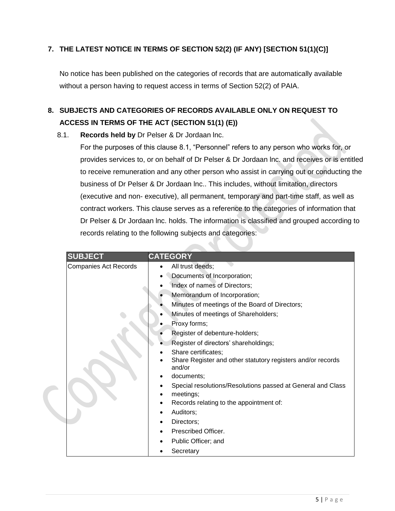### **7. THE LATEST NOTICE IN TERMS OF SECTION 52(2) (IF ANY) [SECTION 51(1)(C)]**

No notice has been published on the categories of records that are automatically available without a person having to request access in terms of Section 52(2) of PAIA.

# **8. SUBJECTS AND CATEGORIES OF RECORDS AVAILABLE ONLY ON REQUEST TO ACCESS IN TERMS OF THE ACT (SECTION 51(1) (E))**

#### 8.1. **Records held by** Dr Pelser & Dr Jordaan lnc.

For the purposes of this clause 8.1, "Personnel" refers to any person who works for, or provides services to, or on behalf of Dr Pelser & Dr Jordaan lnc. and receives or is entitled to receive remuneration and any other person who assist in carrying out or conducting the business of Dr Pelser & Dr Jordaan lnc.. This includes, without limitation, directors (executive and non- executive), all permanent, temporary and part-time staff, as well as contract workers. This clause serves as a reference to the categories of information that Dr Pelser & Dr Jordaan lnc. holds. The information is classified and grouped according to records relating to the following subjects and categories:

| <b>SUBJECT</b>               | <b>CATEGORY</b>                                                          |
|------------------------------|--------------------------------------------------------------------------|
| <b>Companies Act Records</b> | All trust deeds;                                                         |
|                              | Documents of Incorporation;                                              |
|                              | Index of names of Directors;                                             |
|                              | Memorandum of Incorporation;                                             |
|                              | Minutes of meetings of the Board of Directors;                           |
|                              | Minutes of meetings of Shareholders;                                     |
|                              | Proxy forms;                                                             |
|                              | Register of debenture-holders;                                           |
|                              | Register of directors' shareholdings;                                    |
|                              | Share certificates;                                                      |
|                              | Share Register and other statutory registers and/or records<br>and/or    |
|                              | documents;                                                               |
|                              | Special resolutions/Resolutions passed at General and Class<br>meetings; |
|                              | Records relating to the appointment of:                                  |
|                              | Auditors;                                                                |
|                              | Directors;                                                               |
|                              | Prescribed Officer.                                                      |
|                              | Public Officer; and                                                      |
|                              | Secretary                                                                |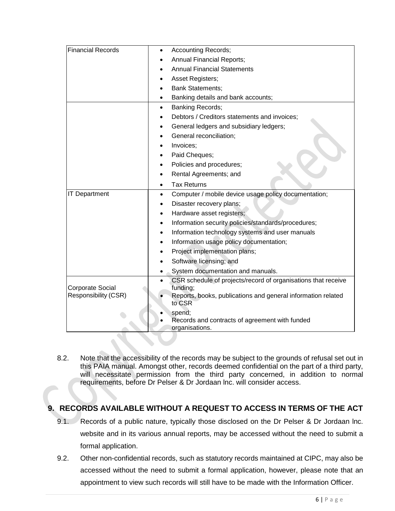| <b>Financial Records</b>                               | <b>Accounting Records;</b><br>$\bullet$                                  |
|--------------------------------------------------------|--------------------------------------------------------------------------|
|                                                        | <b>Annual Financial Reports;</b>                                         |
|                                                        | <b>Annual Financial Statements</b>                                       |
|                                                        | Asset Registers;                                                         |
|                                                        | <b>Bank Statements;</b>                                                  |
|                                                        | Banking details and bank accounts;                                       |
|                                                        | <b>Banking Records;</b><br>$\bullet$                                     |
|                                                        | Debtors / Creditors statements and invoices;                             |
|                                                        | General ledgers and subsidiary ledgers;                                  |
|                                                        | General reconciliation;                                                  |
|                                                        | Invoices;                                                                |
|                                                        | Paid Cheques;                                                            |
|                                                        | Policies and procedures;                                                 |
|                                                        | Rental Agreements; and                                                   |
|                                                        | <b>Tax Returns</b><br>٠                                                  |
| <b>IT Department</b>                                   | Computer / mobile device usage policy documentation;<br>$\bullet$        |
|                                                        | Disaster recovery plans;<br>$\bullet$                                    |
|                                                        | Hardware asset registers;<br>$\bullet$                                   |
|                                                        | Information security policies/standards/procedures;                      |
|                                                        | Information technology systems and user manuals                          |
|                                                        | Information usage policy documentation;                                  |
|                                                        | Project implementation plans;                                            |
|                                                        | Software licensing; and                                                  |
|                                                        | System documentation and manuals.                                        |
|                                                        | CSR schedule of projects/record of organisations that receive            |
| <b>Corporate Social</b><br><b>Responsibility (CSR)</b> | funding;<br>Reports, books, publications and general information related |
|                                                        | to CSR                                                                   |
|                                                        | spend;                                                                   |
|                                                        | Records and contracts of agreement with funded                           |
|                                                        | organisations.                                                           |

8.2. Note that the accessibility of the records may be subject to the grounds of refusal set out in this PAIA manual. Amongst other, records deemed confidential on the part of a third party, will necessitate permission from the third party concerned, in addition to normal requirements, before Dr Pelser & Dr Jordaan lnc. will consider access.

# **9. RECORDS AVAILABLE WITHOUT A REQUEST TO ACCESS IN TERMS OF THE ACT**

- 9.1. Records of a public nature, typically those disclosed on the Dr Pelser & Dr Jordaan lnc. website and in its various annual reports, may be accessed without the need to submit a formal application.
- 9.2. Other non-confidential records, such as statutory records maintained at CIPC, may also be accessed without the need to submit a formal application, however, please note that an appointment to view such records will still have to be made with the Information Officer.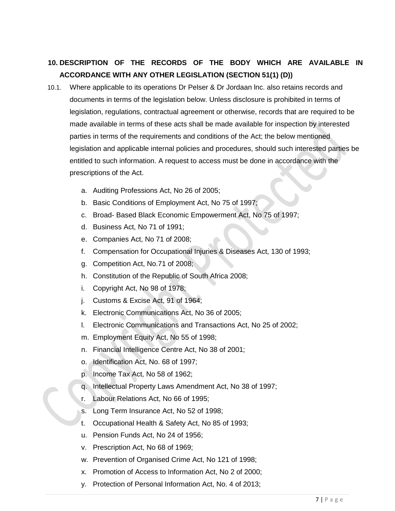# **10. DESCRIPTION OF THE RECORDS OF THE BODY WHICH ARE AVAILABLE IN ACCORDANCE WITH ANY OTHER LEGISLATION (SECTION 51(1) (D))**

- 10.1. Where applicable to its operations Dr Pelser & Dr Jordaan lnc. also retains records and documents in terms of the legislation below. Unless disclosure is prohibited in terms of legislation, regulations, contractual agreement or otherwise, records that are required to be made available in terms of these acts shall be made available for inspection by interested parties in terms of the requirements and conditions of the Act; the below mentioned legislation and applicable internal policies and procedures, should such interested parties be entitled to such information. A request to access must be done in accordance with the prescriptions of the Act.
	- a. Auditing Professions Act, No 26 of 2005;
	- b. Basic Conditions of Employment Act, No 75 of 1997;
	- c. Broad- Based Black Economic Empowerment Act, No 75 of 1997;
	- d. Business Act, No 71 of 1991;
	- e. Companies Act, No 71 of 2008;
	- f. Compensation for Occupational Injuries & Diseases Act, 130 of 1993;
	- g. Competition Act, No.71 of 2008;
	- h. Constitution of the Republic of South Africa 2008;
	- i. Copyright Act, No 98 of 1978;
	- j. Customs & Excise Act, 91 of 1964;
	- k. Electronic Communications Act, No 36 of 2005;
	- l. Electronic Communications and Transactions Act, No 25 of 2002;
	- m. Employment Equity Act, No 55 of 1998;
	- n. Financial Intelligence Centre Act, No 38 of 2001;
	- o. Identification Act, No. 68 of 1997;
	- p. Income Tax Act, No 58 of 1962;
	- q. Intellectual Property Laws Amendment Act, No 38 of 1997;
	- r. Labour Relations Act, No 66 of 1995;
	- s. Long Term Insurance Act, No 52 of 1998;
	- t. Occupational Health & Safety Act, No 85 of 1993;
	- u. Pension Funds Act, No 24 of 1956;
	- v. Prescription Act, No 68 of 1969;
	- w. Prevention of Organised Crime Act, No 121 of 1998;
	- x. Promotion of Access to Information Act, No 2 of 2000;
	- y. Protection of Personal Information Act, No. 4 of 2013;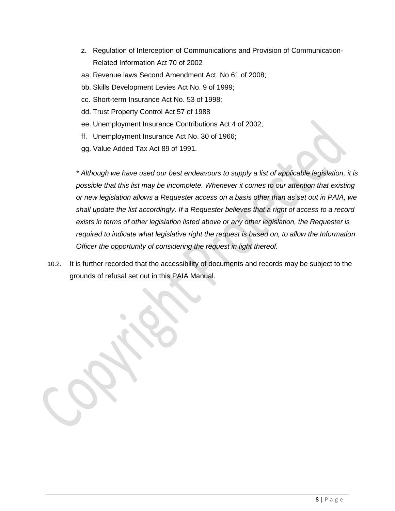- z. Regulation of Interception of Communications and Provision of Communication-Related Information Act 70 of 2002
- aa. Revenue laws Second Amendment Act. No 61 of 2008;
- bb. Skills Development Levies Act No. 9 of 1999;
- cc. Short-term Insurance Act No. 53 of 1998;
- dd. Trust Property Control Act 57 of 1988
- ee. Unemployment Insurance Contributions Act 4 of 2002;
- ff. Unemployment Insurance Act No. 30 of 1966;
- gg. Value Added Tax Act 89 of 1991.

*\* Although we have used our best endeavours to supply a list of applicable legislation, it is possible that this list may be incomplete. Whenever it comes to our attention that existing or new legislation allows a Requester access on a basis other than as set out in PAIA, we shall update the list accordingly. If a Requester believes that a right of access to a record exists in terms of other legislation listed above or any other legislation, the Requester is required to indicate what legislative right the request is based on, to allow the Information Officer the opportunity of considering the request in light thereof.*

10.2. It is further recorded that the accessibility of documents and records may be subject to the grounds of refusal set out in this PAIA Manual.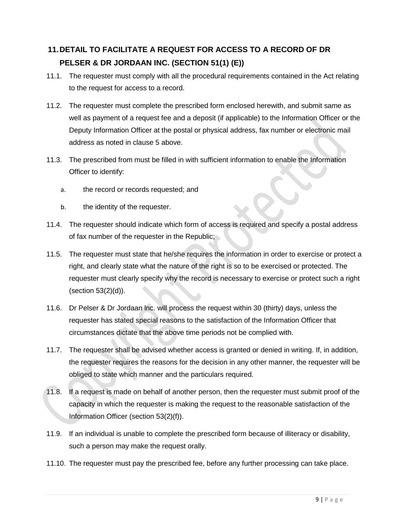# **11.DETAIL TO FACILITATE A REQUEST FOR ACCESS TO A RECORD OF DR PELSER & DR JORDAAN INC. (SECTION 51(1) (E))**

- 11.1. The requester must comply with all the procedural requirements contained in the Act relating to the request for access to a record.
- 11.2. The requester must complete the prescribed form enclosed herewith, and submit same as well as payment of a request fee and a deposit (if applicable) to the Information Officer or the Deputy Information Officer at the postal or physical address, fax number or electronic mail address as noted in clause 5 above.
- 11.3. The prescribed from must be filled in with sufficient information to enable the Information Officer to identify:
	- a. the record or records requested; and
	- b. the identity of the requester.
- 11.4. The requester should indicate which form of access is required and specify a postal address of fax number of the requester in the Republic;
- 11.5. The requester must state that he/she requires the information in order to exercise or protect a right, and clearly state what the nature of the right is so to be exercised or protected. The requester must clearly specify why the record is necessary to exercise or protect such a right (section 53(2)(d)).
- 11.6. Dr Pelser & Dr Jordaan lnc. will process the request within 30 (thirty) days, unless the requester has stated special reasons to the satisfaction of the Information Officer that circumstances dictate that the above time periods not be complied with.
- 11.7. The requester shall be advised whether access is granted or denied in writing. If, in addition, the requester requires the reasons for the decision in any other manner, the requester will be obliged to state which manner and the particulars required.
- 11.8. If a request is made on behalf of another person, then the requester must submit proof of the capacity in which the requester is making the request to the reasonable satisfaction of the Information Officer (section 53(2)(f)).
- 11.9. If an individual is unable to complete the prescribed form because of illiteracy or disability, such a person may make the request orally.
- 11.10. The requester must pay the prescribed fee, before any further processing can take place.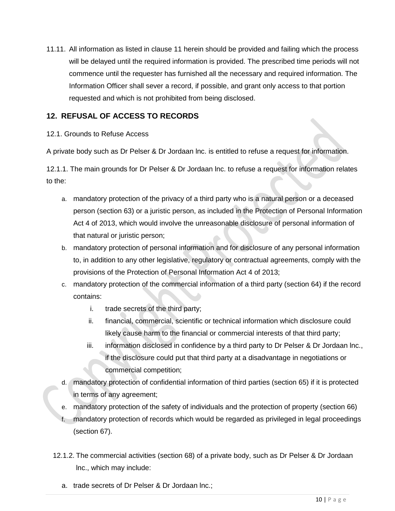11.11. All information as listed in clause 11 herein should be provided and failing which the process will be delayed until the required information is provided. The prescribed time periods will not commence until the requester has furnished all the necessary and required information. The Information Officer shall sever a record, if possible, and grant only access to that portion requested and which is not prohibited from being disclosed.

# **12. REFUSAL OF ACCESS TO RECORDS**

#### 12.1. Grounds to Refuse Access

A private body such as Dr Pelser & Dr Jordaan lnc. is entitled to refuse a request for information.

12.1.1. The main grounds for Dr Pelser & Dr Jordaan lnc. to refuse a request for information relates to the:

- a. mandatory protection of the privacy of a third party who is a natural person or a deceased person (section 63) or a juristic person, as included in the Protection of Personal Information Act 4 of 2013, which would involve the unreasonable disclosure of personal information of that natural or juristic person;
- b. mandatory protection of personal information and for disclosure of any personal information to, in addition to any other legislative, regulatory or contractual agreements, comply with the provisions of the Protection of Personal Information Act 4 of 2013;
- c. mandatory protection of the commercial information of a third party (section 64) if the record contains:
	- i. trade secrets of the third party;
	- ii. financial, commercial, scientific or technical information which disclosure could likely cause harm to the financial or commercial interests of that third party;
	- iii. information disclosed in confidence by a third party to Dr Pelser & Dr Jordaan lnc., if the disclosure could put that third party at a disadvantage in negotiations or commercial competition;
- d. mandatory protection of confidential information of third parties (section 65) if it is protected in terms of any agreement;
- e. mandatory protection of the safety of individuals and the protection of property (section 66)
- mandatory protection of records which would be regarded as privileged in legal proceedings (section 67).
- 12.1.2. The commercial activities (section 68) of a private body, such as Dr Pelser & Dr Jordaan lnc., which may include:
	- a. trade secrets of Dr Pelser & Dr Jordaan lnc.;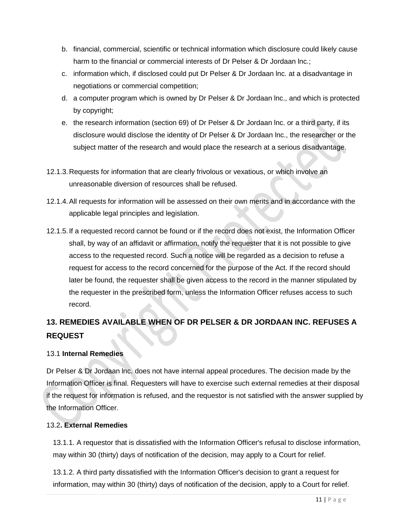- b. financial, commercial, scientific or technical information which disclosure could likely cause harm to the financial or commercial interests of Dr Pelser & Dr Jordaan Inc.;
- c. information which, if disclosed could put Dr Pelser & Dr Jordaan lnc. at a disadvantage in negotiations or commercial competition;
- d. a computer program which is owned by Dr Pelser & Dr Jordaan lnc., and which is protected by copyright;
- e. the research information (section 69) of Dr Pelser & Dr Jordaan lnc. or a third party, if its disclosure would disclose the identity of Dr Pelser & Dr Jordaan lnc., the researcher or the subject matter of the research and would place the research at a serious disadvantage.
- 12.1.3.Requests for information that are clearly frivolous or vexatious, or which involve an unreasonable diversion of resources shall be refused.
- 12.1.4.All requests for information will be assessed on their own merits and in accordance with the applicable legal principles and legislation.
- 12.1.5.If a requested record cannot be found or if the record does not exist, the Information Officer shall, by way of an affidavit or affirmation, notify the requester that it is not possible to give access to the requested record. Such a notice will be regarded as a decision to refuse a request for access to the record concerned for the purpose of the Act. If the record should later be found, the requester shall be given access to the record in the manner stipulated by the requester in the prescribed form, unless the Information Officer refuses access to such record.

# **13. REMEDIES AVAILABLE WHEN OF DR PELSER & DR JORDAAN INC. REFUSES A REQUEST**

#### 13.1 **Internal Remedies**

Dr Pelser & Dr Jordaan lnc. does not have internal appeal procedures. The decision made by the Information Officer is final. Requesters will have to exercise such external remedies at their disposal if the request for information is refused, and the requestor is not satisfied with the answer supplied by the Information Officer.

#### 13.2**. External Remedies**

13.1.1. A requestor that is dissatisfied with the Information Officer's refusal to disclose information, may within 30 (thirty) days of notification of the decision, may apply to a Court for relief.

13.1.2. A third party dissatisfied with the Information Officer's decision to grant a request for information, may within 30 (thirty) days of notification of the decision, apply to a Court for relief.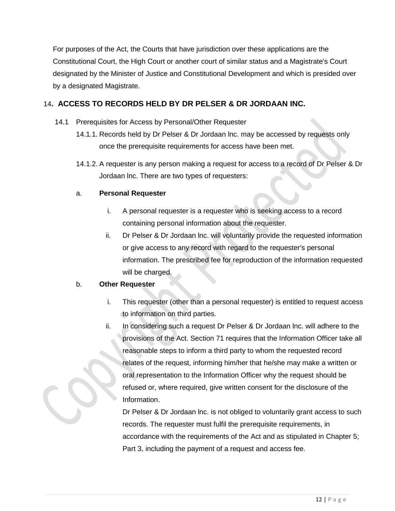For purposes of the Act, the Courts that have jurisdiction over these applications are the Constitutional Court, the High Court or another court of similar status and a Magistrate's Court designated by the Minister of Justice and Constitutional Development and which is presided over by a designated Magistrate.

#### 14**. ACCESS TO RECORDS HELD BY DR PELSER & DR JORDAAN INC.**

- 14.1 Prerequisites for Access by Personal/Other Requester
	- 14.1.1. Records held by Dr Pelser & Dr Jordaan lnc. may be accessed by requests only once the prerequisite requirements for access have been met.
	- 14.1.2. A requester is any person making a request for access to a record of Dr Pelser & Dr Jordaan lnc. There are two types of requesters:

#### a. **Personal Requester**

- i. A personal requester is a requester who is seeking access to a record containing personal information about the requester.
- ii. Dr Pelser & Dr Jordaan lnc. will voluntarily provide the requested information or give access to any record with regard to the requester's personal information. The prescribed fee for reproduction of the information requested will be charged.

#### b. **Other Requester**

- i. This requester (other than a personal requester) is entitled to request access to information on third parties.
- ii. In considering such a request Dr Pelser & Dr Jordaan lnc. will adhere to the provisions of the Act. Section 71 requires that the Information Officer take all reasonable steps to inform a third party to whom the requested record relates of the request, informing him/her that he/she may make a written or oral representation to the Information Officer why the request should be refused or, where required, give written consent for the disclosure of the Information.

Dr Pelser & Dr Jordaan lnc. is not obliged to voluntarily grant access to such records. The requester must fulfil the prerequisite requirements, in accordance with the requirements of the Act and as stipulated in Chapter 5; Part 3, including the payment of a request and access fee.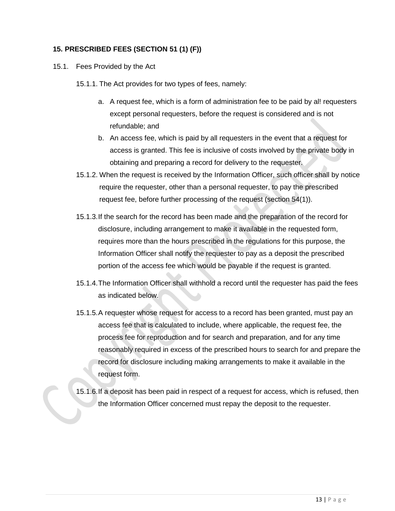#### **15. PRESCRIBED FEES (SECTION 51 (1) (F))**

- 15.1. Fees Provided by the Act
	- 15.1.1. The Act provides for two types of fees, namely:
		- a. A request fee, which is a form of administration fee to be paid by al! requesters except personal requesters, before the request is considered and is not refundable; and
		- b. An access fee, which is paid by all requesters in the event that a request for access is granted. This fee is inclusive of costs involved by the private body in obtaining and preparing a record for delivery to the requester.
	- 15.1.2. When the request is received by the Information Officer, such officer shall by notice require the requester, other than a personal requester, to pay the prescribed request fee, before further processing of the request (section 54(1)).
	- 15.1.3.If the search for the record has been made and the preparation of the record for disclosure, including arrangement to make it available in the requested form, requires more than the hours prescribed in the regulations for this purpose, the Information Officer shall notify the requester to pay as a deposit the prescribed portion of the access fee which would be payable if the request is granted.
	- 15.1.4.The Information Officer shall withhold a record until the requester has paid the fees as indicated below.
	- 15.1.5.A requester whose request for access to a record has been granted, must pay an access fee that is calculated to include, where applicable, the request fee, the process fee for reproduction and for search and preparation, and for any time reasonably required in excess of the prescribed hours to search for and prepare the record for disclosure including making arrangements to make it available in the request form.
	- 15.1.6.If a deposit has been paid in respect of a request for access, which is refused, then the Information Officer concerned must repay the deposit to the requester.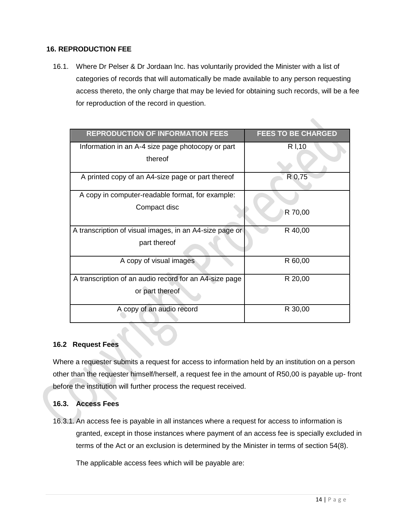#### **16. REPRODUCTION FEE**

16.1. Where Dr Pelser & Dr Jordaan lnc. has voluntarily provided the Minister with a list of categories of records that will automatically be made available to any person requesting access thereto, the only charge that may be levied for obtaining such records, will be a fee for reproduction of the record in question.

| <b>REPRODUCTION OF INFORMATION FEES</b>                 | <b>FEES TO BE CHARGED</b> |
|---------------------------------------------------------|---------------------------|
| Information in an A-4 size page photocopy or part       | R I, 10                   |
| thereof                                                 |                           |
| A printed copy of an A4-size page or part thereof       | R 0,75                    |
| A copy in computer-readable format, for example:        |                           |
| Compact disc                                            | R 70,00                   |
| A transcription of visual images, in an A4-size page or | R 40,00                   |
| part thereof                                            |                           |
| A copy of visual images                                 | R 60,00                   |
| A transcription of an audio record for an A4-size page  | R 20,00                   |
| or part thereof                                         |                           |
| A copy of an audio record                               | R 30,00                   |

#### **16.2 Request Fees**

Where a requester submits a request for access to information held by an institution on a person other than the requester himself/herself, a request fee in the amount of R50,00 is payable up- front before the institution will further process the request received.

#### **16.3. Access Fees**

16.3.1. An access fee is payable in all instances where a request for access to information is granted, except in those instances where payment of an access fee is specially excluded in terms of the Act or an exclusion is determined by the Minister in terms of section 54(8).

The applicable access fees which will be payable are: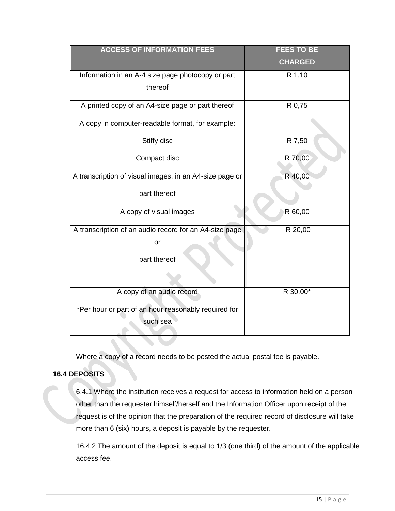| <b>ACCESS OF INFORMATION FEES</b>                       | <b>FEES TO BE</b> |
|---------------------------------------------------------|-------------------|
|                                                         | <b>CHARGED</b>    |
| Information in an A-4 size page photocopy or part       | R 1,10            |
| thereof                                                 |                   |
| A printed copy of an A4-size page or part thereof       | R 0,75            |
| A copy in computer-readable format, for example:        |                   |
| Stiffy disc                                             | R 7,50            |
| Compact disc                                            | R 70,00           |
| A transcription of visual images, in an A4-size page or | R 40,00           |
| part thereof                                            |                   |
| A copy of visual images                                 | R 60,00           |
| A transcription of an audio record for an A4-size page  | R 20,00           |
| or                                                      |                   |
| part thereof                                            |                   |
|                                                         |                   |
| A copy of an audio record                               | R 30,00*          |
| *Per hour or part of an hour reasonably required for    |                   |
| such sea                                                |                   |
|                                                         |                   |

Where a copy of a record needs to be posted the actual postal fee is payable.

#### **16.4 DEPOSITS**

6.4.1 Where the institution receives a request for access to information held on a person other than the requester himself/herself and the Information Officer upon receipt of the request is of the opinion that the preparation of the required record of disclosure will take more than 6 (six) hours, a deposit is payable by the requester.

16.4.2 The amount of the deposit is equal to 1/3 (one third) of the amount of the applicable access fee.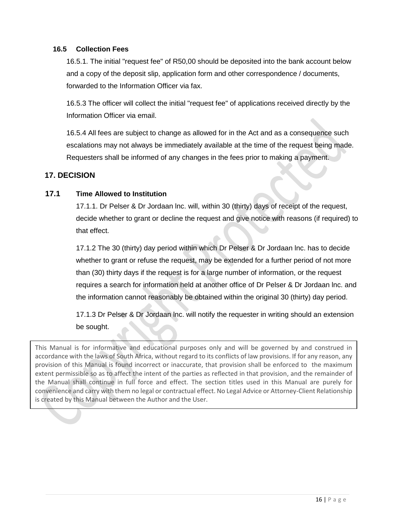#### **16.5 Collection Fees**

16.5.1. The initial "request fee" of R50,00 should be deposited into the bank account below and a copy of the deposit slip, application form and other correspondence / documents, forwarded to the Information Officer via fax.

16.5.3 The officer will collect the initial "request fee" of applications received directly by the Information Officer via email.

16.5.4 All fees are subject to change as allowed for in the Act and as a consequence such escalations may not always be immediately available at the time of the request being made. Requesters shall be informed of any changes in the fees prior to making a payment.

#### **17. DECISION**

#### **17.1 Time Allowed to Institution**

17.1.1. Dr Pelser & Dr Jordaan lnc. will, within 30 (thirty) days of receipt of the request, decide whether to grant or decline the request and give notice with reasons (if required) to that effect.

17.1.2 The 30 (thirty) day period within which Dr Pelser & Dr Jordaan lnc. has to decide whether to grant or refuse the request, may be extended for a further period of not more than (30) thirty days if the request is for a large number of information, or the request requires a search for information held at another office of Dr Pelser & Dr Jordaan lnc. and the information cannot reasonably be obtained within the original 30 (thirty) day period.

17.1.3 Dr Pelser & Dr Jordaan lnc. will notify the requester in writing should an extension be sought.

This Manual is for informative and educational purposes only and will be governed by and construed in accordance with the laws of South Africa, without regard to its conflicts of law provisions. If for any reason, any provision of this Manual is found incorrect or inaccurate, that provision shall be enforced to the maximum extent permissible so as to affect the intent of the parties as reflected in that provision, and the remainder of the Manual shall continue in full force and effect. The section titles used in this Manual are purely for convenience and carry with them no legal or contractual effect. No Legal Advice or Attorney-Client Relationship is created by this Manual between the Author and the User.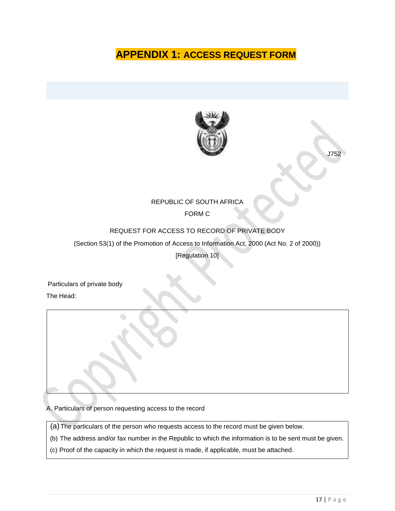# **APPENDIX 1: ACCESS REQUEST FORM**



J752

# REPUBLIC OF SOUTH AFRICA

#### FORM C

#### REQUEST FOR ACCESS TO RECORD OF PRIVATE BODY

(Section 53(1) of the Promotion of Access to Information Act, 2000 (Act No. 2 of 2000))

[Regulation 10]

Particulars of private body The Head:

A. Particulars of person requesting access to the record

(a)The particulars of the person who requests access to the record must be given below.

(b) The address and/or fax number in the Republic to which the information is to be sent must be given.

(c) Proof of the capacity in which the request is made, if applicable, must be attached.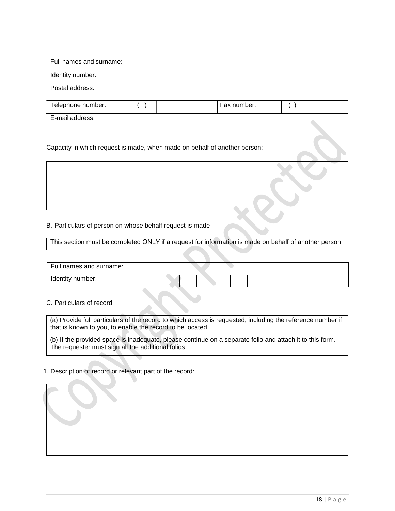#### Full names and surname:

Identity number:

Postal address:

| Telephone number: |  | Fax number: |  |
|-------------------|--|-------------|--|
| E-mail address:   |  |             |  |

Capacity in which request is made, when made on behalf of another person:

#### B. Particulars of person on whose behalf request is made

This section must be completed ONLY if a request for information is made on behalf of another person

| Full names and surname: |  |  |  |  |  |  |  |
|-------------------------|--|--|--|--|--|--|--|
| Identity number:        |  |  |  |  |  |  |  |

#### C. Particulars of record

(a) Provide full particulars of the record to which access is requested, including the reference number if that is known to you, to enable the record to be located.

(b) If the provided space is inadequate, please continue on a separate folio and attach it to this form. The requester must sign all the additional folios.

#### 1. Description of record or relevant part of the record: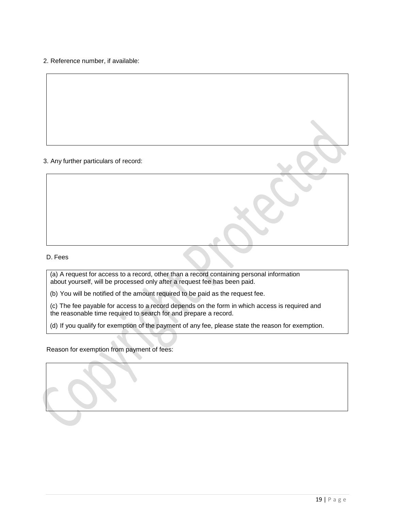2. Reference number, if available:

#### 3. Any further particulars of record:

#### D. Fees

(a) A request for access to a record, other than a record containing personal information about yourself, will be processed only after a request fee has been paid.

(b) You will be notified of the amount required to be paid as the request fee.

(c) The fee payable for access to a record depends on the form in which access is required and the reasonable time required to search for and prepare a record.

(d) If you qualify for exemption of the payment of any fee, please state the reason for exemption.

#### Reason for exemption from payment of fees: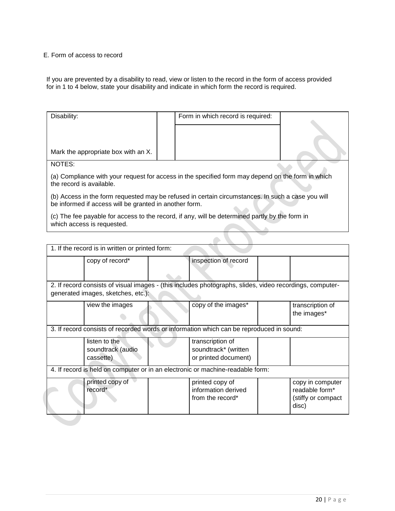#### E. Form of access to record

If you are prevented by a disability to read, view or listen to the record in the form of access provided for in 1 to 4 below, state your disability and indicate in which form the record is required.

| Disability:                                                                                                                                                                                                                                    | Form in which record is required: |  |
|------------------------------------------------------------------------------------------------------------------------------------------------------------------------------------------------------------------------------------------------|-----------------------------------|--|
| Mark the appropriate box with an X.                                                                                                                                                                                                            |                                   |  |
| NOTES:                                                                                                                                                                                                                                         |                                   |  |
| (a) Compliance with your request for access in the specified form may depend on the form in which<br>the record is available.                                                                                                                  |                                   |  |
| (b) Access in the form requested may be refused in certain circumstances. In such a case you will<br>be informed if access will be granted in another form.                                                                                    |                                   |  |
| $\mathcal{L} \setminus \mathbf{r}$ , and a set of the contract of the contract of the contract of the contract of the contract of the contract of the contract of the contract of the contract of the contract of the contract of the contract |                                   |  |

(c) The fee payable for access to the record, if any, will be determined partly by the form in which access is requested.

| 1. If the record is in written or printed form: |                                                                                                          |                                                                   |
|-------------------------------------------------|----------------------------------------------------------------------------------------------------------|-------------------------------------------------------------------|
| copy of record*                                 | inspection of record                                                                                     |                                                                   |
| generated images, sketches, etc.):              | 2. If record consists of visual images - (this includes photographs, slides, video recordings, computer- |                                                                   |
| view the images                                 | copy of the images*                                                                                      | transcription of<br>the images*                                   |
|                                                 | 3. If record consists of recorded words or information which can be reproduced in sound:                 |                                                                   |
| listen to the<br>soundtrack (audio<br>cassette) | transcription of<br>soundtrack* (written<br>or printed document)                                         |                                                                   |
|                                                 | 4. If record is held on computer or in an electronic or machine-readable form:                           |                                                                   |
| printed copy of<br>record*                      | printed copy of<br>information derived<br>from the record*                                               | copy in computer<br>readable form*<br>(stiffy or compact<br>disc) |